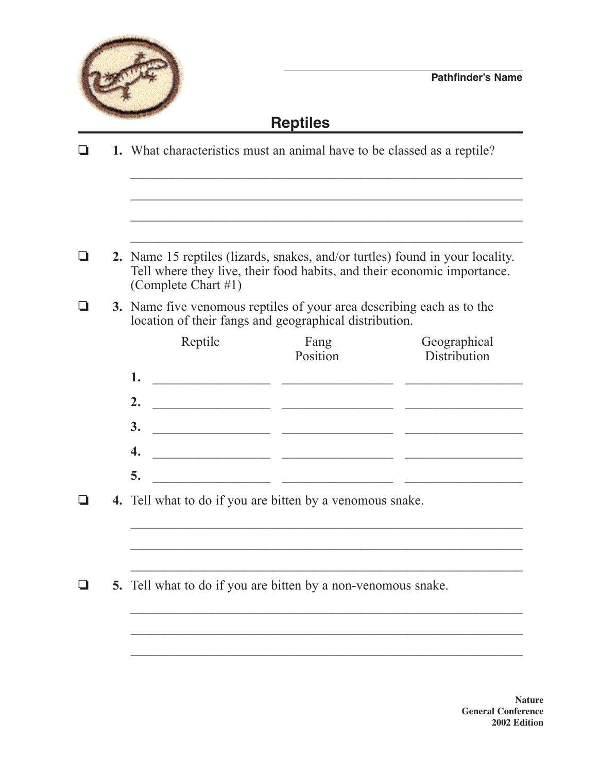

#### **Reptiles**

**1.** What characteristics must an animal have to be classed as a reptile?  $\mathcal{L}_\text{max}$  , and the contract of the contract of the contract of the contract of the contract of the contract of the contract of the contract of the contract of the contract of the contract of the contract of the contr  $\mathcal{L}_\text{max}$  , and the contract of the contract of the contract of the contract of the contract of the contract of the contract of the contract of the contract of the contract of the contract of the contract of the contr  $\mathcal{L}_\text{max}$  , and the contract of the contract of the contract of the contract of the contract of the contract of the contract of the contract of the contract of the contract of the contract of the contract of the contr **2.** Name 15 reptiles (lizards, snakes, and/or turtles) found in your locality. Tell where they live, their food habits, and their economic importance. (Complete Chart #1) **3.** Name five venomous reptiles of your area describing each as to the location of their fangs and geographical distribution. Reptile Fang Geographical Position Distribution **1.** \_\_\_\_\_\_\_\_\_\_\_\_\_\_\_\_\_ \_\_\_\_\_\_\_\_\_\_\_\_\_\_\_\_ \_\_\_\_\_\_\_\_\_\_\_\_\_\_\_\_\_ **2.** \_\_\_\_\_\_\_\_\_\_\_\_\_\_\_\_\_ \_\_\_\_\_\_\_\_\_\_\_\_\_\_\_\_ \_\_\_\_\_\_\_\_\_\_\_\_\_\_\_\_\_ **3.** \_\_\_\_\_\_\_\_\_\_\_\_\_\_\_\_\_ \_\_\_\_\_\_\_\_\_\_\_\_\_\_\_\_ \_\_\_\_\_\_\_\_\_\_\_\_\_\_\_\_\_ **4.** \_\_\_\_\_\_\_\_\_\_\_\_\_\_\_\_\_ \_\_\_\_\_\_\_\_\_\_\_\_\_\_\_\_ \_\_\_\_\_\_\_\_\_\_\_\_\_\_\_\_\_ **5.** \_\_\_\_\_\_\_\_\_\_\_\_\_\_\_\_\_ \_\_\_\_\_\_\_\_\_\_\_\_\_\_\_\_ \_\_\_\_\_\_\_\_\_\_\_\_\_\_\_\_\_ **4.** Tell what to do if you are bitten by a venomous snake.  $\mathcal{L}_\text{max}$  , and the contract of the contract of the contract of the contract of the contract of the contract of the contract of the contract of the contract of the contract of the contract of the contract of the contr  $\mathcal{L}_\text{max}$  and  $\mathcal{L}_\text{max}$  and  $\mathcal{L}_\text{max}$  and  $\mathcal{L}_\text{max}$  and  $\mathcal{L}_\text{max}$  and  $\mathcal{L}_\text{max}$  $\Box$  5. Tell what to do if you are bitten by a non-venomous snake.  $\mathcal{L}_\text{max}$  , and the contract of the contract of the contract of the contract of the contract of the contract of  $\mathcal{L}_\text{max}$  and  $\mathcal{L}_\text{max}$  and  $\mathcal{L}_\text{max}$  and  $\mathcal{L}_\text{max}$  and  $\mathcal{L}_\text{max}$  and  $\mathcal{L}_\text{max}$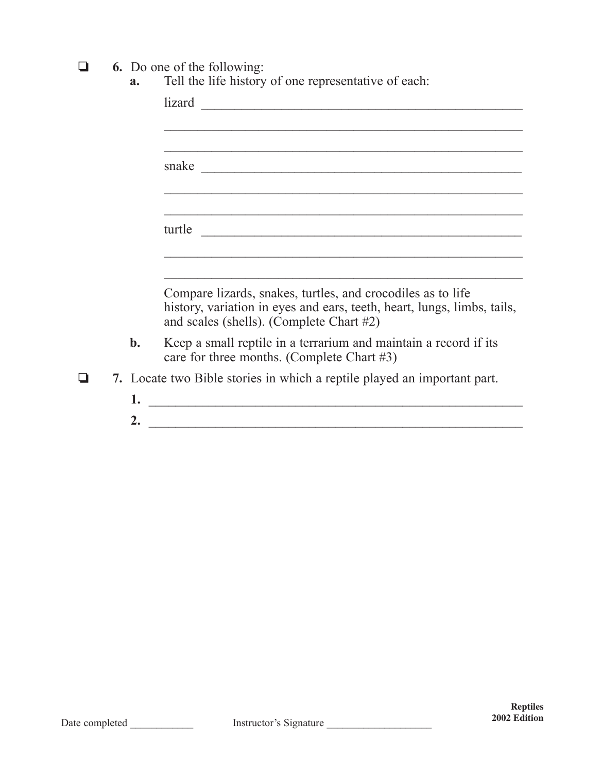**a 6.** Do one of the following:

| Tell the life history of one representative of each:<br>a. |  |
|------------------------------------------------------------|--|
|------------------------------------------------------------|--|

|                | lizard                                                                                                                                                                             |
|----------------|------------------------------------------------------------------------------------------------------------------------------------------------------------------------------------|
|                |                                                                                                                                                                                    |
|                |                                                                                                                                                                                    |
|                |                                                                                                                                                                                    |
|                |                                                                                                                                                                                    |
|                |                                                                                                                                                                                    |
|                | turtle                                                                                                                                                                             |
|                |                                                                                                                                                                                    |
|                |                                                                                                                                                                                    |
|                | Compare lizards, snakes, turtles, and crocodiles as to life<br>history, variation in eyes and ears, teeth, heart, lungs, limbs, tails,<br>and scales (shells). (Complete Chart #2) |
| $\mathbf{b}$ . | Keep a small reptile in a terrarium and maintain a record if its<br>care for three months. (Complete Chart #3)                                                                     |
|                | 7. Locate two Bible stories in which a reptile played an important part.                                                                                                           |
| 1.             |                                                                                                                                                                                    |
| 2.             | <u> 1980 - Jan Barbara, martin da basar da basar da basar da basar da basar da basar da basar da basar da basar</u>                                                                |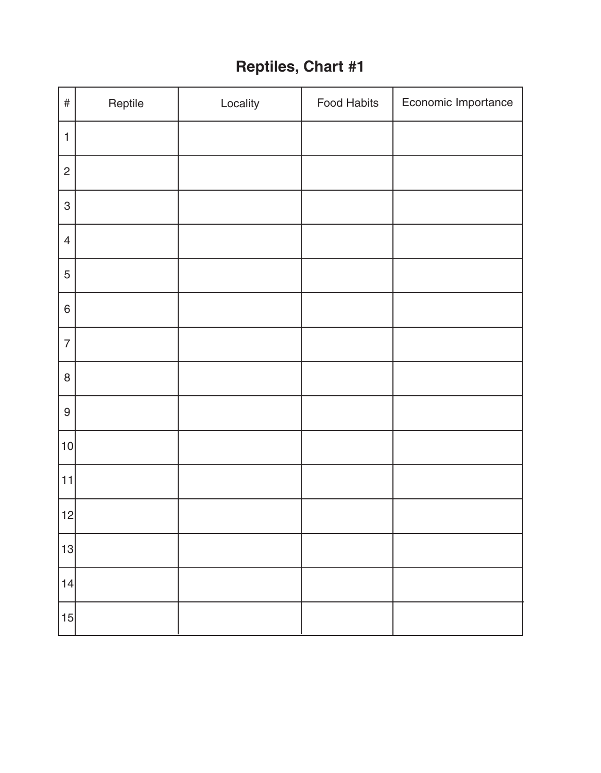#### **Reptiles, Chart #1**

| $\#$                      | Reptile | Locality | Food Habits | Economic Importance |
|---------------------------|---------|----------|-------------|---------------------|
| $\mathbf{1}$              |         |          |             |                     |
| $\overline{c}$            |         |          |             |                     |
| $\ensuremath{\mathsf{3}}$ |         |          |             |                     |
| $\overline{4}$            |         |          |             |                     |
| 5                         |         |          |             |                     |
| $\,$ 6 $\,$               |         |          |             |                     |
| $\overline{7}$            |         |          |             |                     |
| $\,8\,$                   |         |          |             |                     |
| $\boldsymbol{9}$          |         |          |             |                     |
| 10                        |         |          |             |                     |
| 11                        |         |          |             |                     |
| 12                        |         |          |             |                     |
| 13                        |         |          |             |                     |
| 14                        |         |          |             |                     |
| 15                        |         |          |             |                     |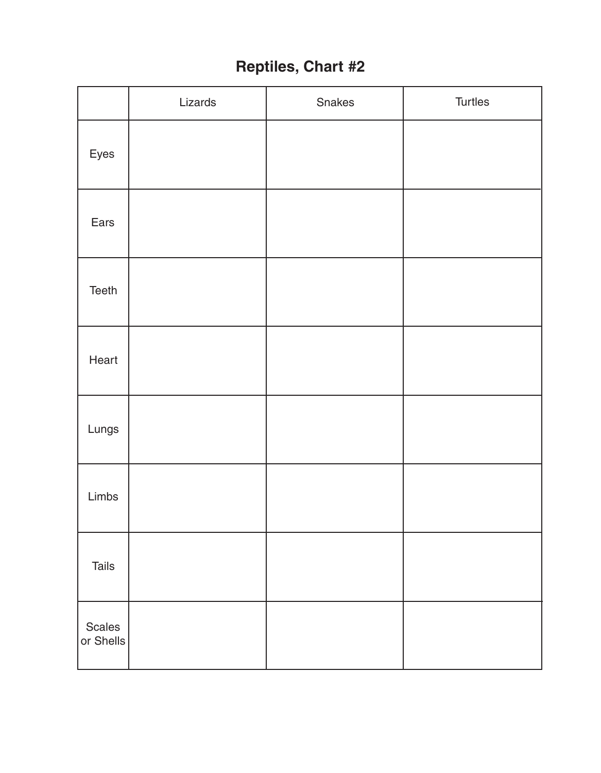## **Reptiles, Chart #2**

|                     | Lizards | Snakes | Turtles |
|---------------------|---------|--------|---------|
| Eyes                |         |        |         |
| Ears                |         |        |         |
| Teeth               |         |        |         |
| Heart               |         |        |         |
| Lungs               |         |        |         |
| Limbs               |         |        |         |
| Tails               |         |        |         |
| Scales<br>or Shells |         |        |         |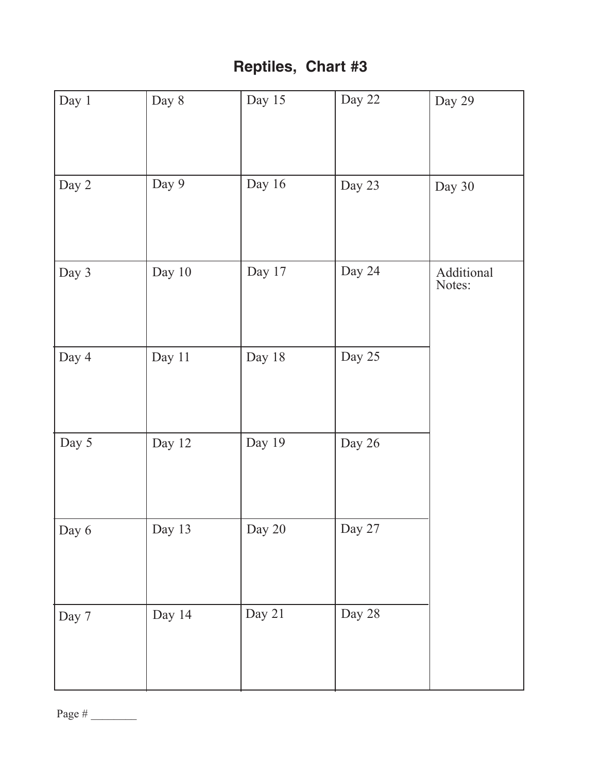## **Reptiles, Chart #3**

| Day 1 | Day 8  | Day 15 | Day 22 | Day 29               |
|-------|--------|--------|--------|----------------------|
| Day 2 | Day 9  | Day 16 | Day 23 | Day 30               |
| Day 3 | Day 10 | Day 17 | Day 24 | Additional<br>Notes: |
| Day 4 | Day 11 | Day 18 | Day 25 |                      |
| Day 5 | Day 12 | Day 19 | Day 26 |                      |
| Day 6 | Day 13 | Day 20 | Day 27 |                      |
| Day 7 | Day 14 | Day 21 | Day 28 |                      |

Page # \_\_\_\_\_\_\_\_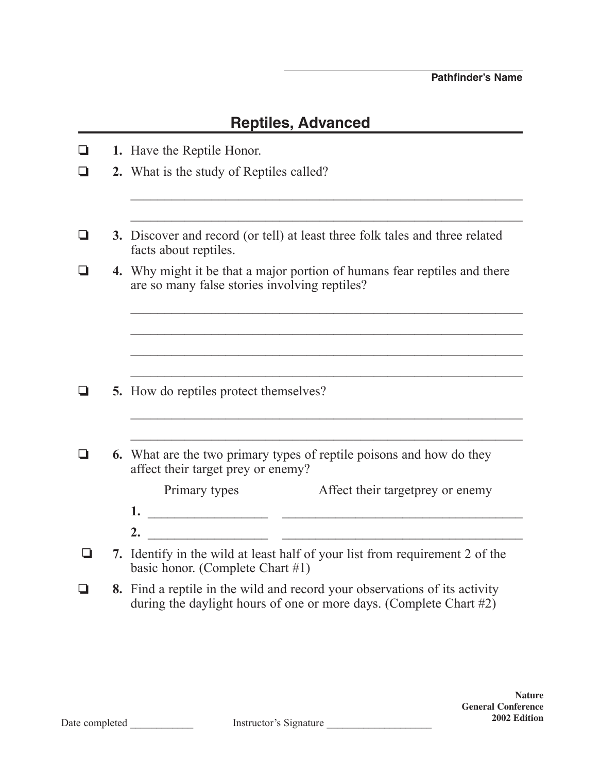#### **Reptiles, Advanced**

| ❏ | 1. Have the Reptile Honor.                                                                                                                                                                                                                                                                                                         |  |  |  |  |  |
|---|------------------------------------------------------------------------------------------------------------------------------------------------------------------------------------------------------------------------------------------------------------------------------------------------------------------------------------|--|--|--|--|--|
| ❏ | 2. What is the study of Reptiles called?                                                                                                                                                                                                                                                                                           |  |  |  |  |  |
|   |                                                                                                                                                                                                                                                                                                                                    |  |  |  |  |  |
| ⊔ | 3. Discover and record (or tell) at least three folk tales and three related<br>facts about reptiles.                                                                                                                                                                                                                              |  |  |  |  |  |
|   | 4. Why might it be that a major portion of humans fear reptiles and there<br>are so many false stories involving reptiles?                                                                                                                                                                                                         |  |  |  |  |  |
|   |                                                                                                                                                                                                                                                                                                                                    |  |  |  |  |  |
|   |                                                                                                                                                                                                                                                                                                                                    |  |  |  |  |  |
| ❏ | <b>5.</b> How do reptiles protect themselves?                                                                                                                                                                                                                                                                                      |  |  |  |  |  |
|   |                                                                                                                                                                                                                                                                                                                                    |  |  |  |  |  |
| ◘ | <b>6.</b> What are the two primary types of reptile poisons and how do they<br>affect their target prey or enemy?                                                                                                                                                                                                                  |  |  |  |  |  |
|   | Affect their target prey or enemy<br>Primary types                                                                                                                                                                                                                                                                                 |  |  |  |  |  |
|   |                                                                                                                                                                                                                                                                                                                                    |  |  |  |  |  |
|   | <u> 1989 - Jan James James James James James James James James James James James James James James James James J</u><br>2.                                                                                                                                                                                                         |  |  |  |  |  |
| ப | 7. Identify in the wild at least half of your list from requirement 2 of the<br>basic honor. (Complete Chart #1)                                                                                                                                                                                                                   |  |  |  |  |  |
|   | $\overline{1}$ and $\overline{1}$ and $\overline{1}$ and $\overline{1}$ and $\overline{1}$ and $\overline{1}$ and $\overline{1}$ and $\overline{1}$ and $\overline{1}$ and $\overline{1}$ and $\overline{1}$ and $\overline{1}$ and $\overline{1}$ and $\overline{1}$ and $\overline{1}$ and $\overline{1}$ and $\overline{1}$ and |  |  |  |  |  |

**8.** Find a reptile in the wild and record your observations of its activity during the daylight hours of one or more days. (Complete Chart #2)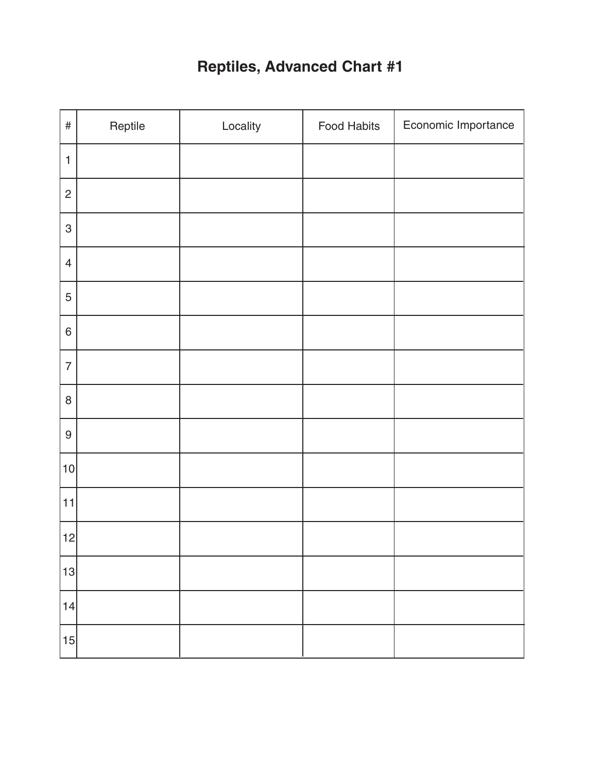# **Reptiles, Advanced Chart #1**

| $\#$             | Reptile | Locality | Food Habits | Economic Importance |
|------------------|---------|----------|-------------|---------------------|
| $\mathbf{1}$     |         |          |             |                     |
| $\mathbf{2}$     |         |          |             |                     |
| $\sqrt{3}$       |         |          |             |                     |
| $\overline{4}$   |         |          |             |                     |
| $\mathbf 5$      |         |          |             |                     |
| $\,6\,$          |         |          |             |                     |
| $\overline{7}$   |         |          |             |                     |
| $\, 8$           |         |          |             |                     |
| $\boldsymbol{9}$ |         |          |             |                     |
| 10               |         |          |             |                     |
| 11               |         |          |             |                     |
| 12               |         |          |             |                     |
| 13               |         |          |             |                     |
| 14               |         |          |             |                     |
| 15               |         |          |             |                     |